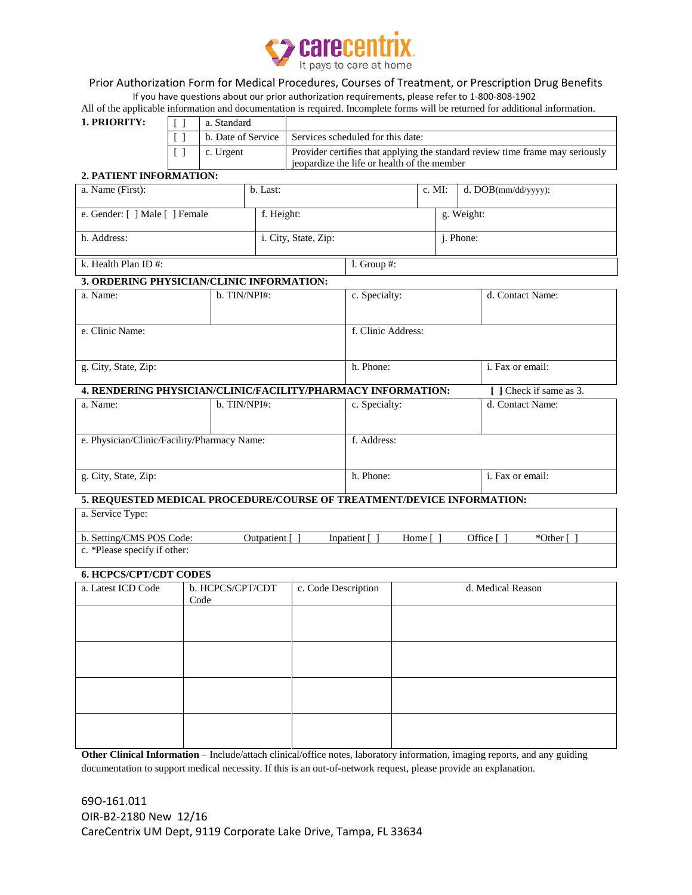

### Prior Authorization Form for Medical Procedures, Courses of Treatment, or Prescription Drug Benefits

If you have questions about our prior authorization requirements, please refer to 1-800-808-1902

All of the applicable information and documentation is required. Incomplete forms will be returned for additional information.

| 1. PRIORITY: | a. Standard |                                                                               |
|--------------|-------------|-------------------------------------------------------------------------------|
|              |             | b. Date of Service   Services scheduled for this date:                        |
|              | c. Urgent   | Provider certifies that applying the standard review time frame may seriously |
|              |             | is isopardize the life or health of the member                                |

## **2. PATIENT INFORMATION:**

| a. Name (First):                                                                              |                                                 | b. Last:             |  |               |               | c. MI:            | d. DOB(mm/dd/yyyy):     |  |
|-----------------------------------------------------------------------------------------------|-------------------------------------------------|----------------------|--|---------------|---------------|-------------------|-------------------------|--|
| e. Gender: [ ] Male [ ] Female                                                                |                                                 | f. Height:           |  |               |               | g. Weight:        |                         |  |
| h. Address:                                                                                   |                                                 | i. City, State, Zip: |  |               |               | j. Phone:         |                         |  |
| k. Health Plan ID#:                                                                           |                                                 |                      |  | $1.$ Group #: |               |                   |                         |  |
| 3. ORDERING PHYSICIAN/CLINIC INFORMATION:                                                     |                                                 |                      |  |               |               |                   |                         |  |
| b. TIN/NPI#:<br>a. Name:                                                                      |                                                 |                      |  |               | c. Specialty: |                   | d. Contact Name:        |  |
|                                                                                               |                                                 |                      |  |               |               |                   |                         |  |
| e. Clinic Name:                                                                               |                                                 | f. Clinic Address:   |  |               |               |                   |                         |  |
| g. City, State, Zip:                                                                          |                                                 |                      |  | h. Phone:     |               |                   | i. Fax or email:        |  |
|                                                                                               |                                                 |                      |  |               |               |                   |                         |  |
| 4. RENDERING PHYSICIAN/CLINIC/FACILITY/PHARMACY INFORMATION:                                  |                                                 |                      |  |               |               |                   | [ ] Check if same as 3. |  |
| a. Name:                                                                                      |                                                 | b. TIN/NPI#:         |  |               | c. Specialty: |                   | d. Contact Name:        |  |
|                                                                                               |                                                 |                      |  |               |               |                   |                         |  |
| e. Physician/Clinic/Facility/Pharmacy Name:                                                   |                                                 |                      |  | f. Address:   |               |                   |                         |  |
| g. City, State, Zip:                                                                          |                                                 |                      |  | h. Phone:     |               |                   | i. Fax or email:        |  |
| 5. REQUESTED MEDICAL PROCEDURE/COURSE OF TREATMENT/DEVICE INFORMATION:                        |                                                 |                      |  |               |               |                   |                         |  |
| a. Service Type:                                                                              |                                                 |                      |  |               |               |                   |                         |  |
| b. Setting/CMS POS Code:<br>Outpatient [ ]<br>Inpatient []<br>Office []<br>*Other [<br>Home [ |                                                 |                      |  |               |               |                   |                         |  |
| c. *Please specify if other:                                                                  |                                                 |                      |  |               |               |                   |                         |  |
| <b>6. HCPCS/CPT/CDT CODES</b>                                                                 |                                                 |                      |  |               |               |                   |                         |  |
| a. Latest ICD Code                                                                            | b. HCPCS/CPT/CDT<br>c. Code Description<br>Code |                      |  |               |               | d. Medical Reason |                         |  |
|                                                                                               |                                                 |                      |  |               |               |                   |                         |  |
|                                                                                               |                                                 |                      |  |               |               |                   |                         |  |
|                                                                                               |                                                 |                      |  |               |               |                   |                         |  |
|                                                                                               |                                                 |                      |  |               |               |                   |                         |  |
|                                                                                               |                                                 |                      |  |               |               |                   |                         |  |
|                                                                                               |                                                 |                      |  |               |               |                   |                         |  |
|                                                                                               |                                                 |                      |  |               |               |                   |                         |  |

**Other Clinical Information** – Include/attach clinical/office notes, laboratory information, imaging reports, and any guiding documentation to support medical necessity. If this is an out-of-network request, please provide an explanation.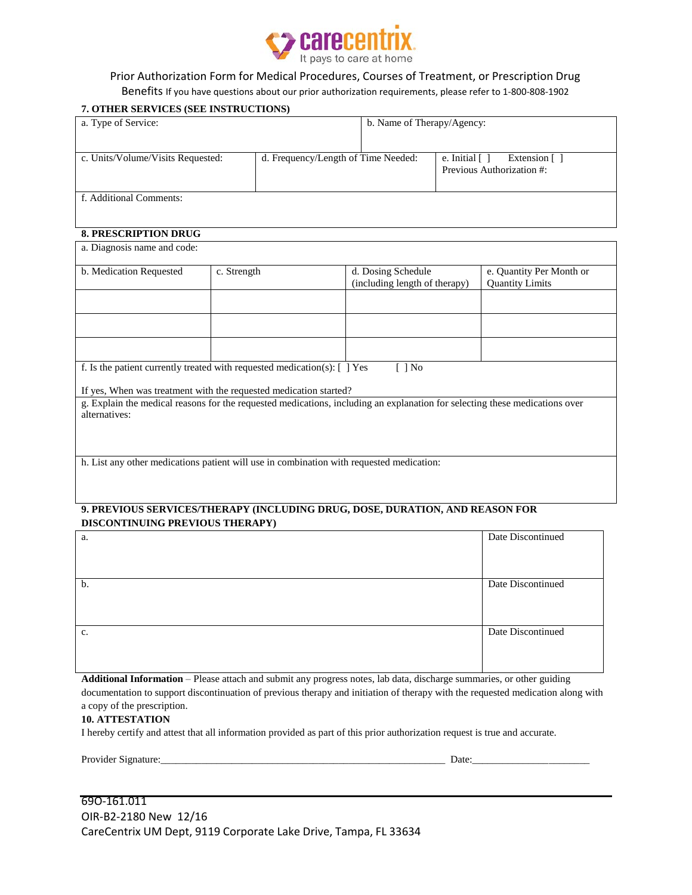

### Prior Authorization Form for Medical Procedures, Courses of Treatment, or Prescription Drug Benefits If you have questions about our prior authorization requirements, please refer to 1-800-808-1902

# **7. OTHER SERVICES (SEE INSTRUCTIONS)** a. Type of Service: b. Name of Therapy/Agency: c. Units/Volume/Visits Requested: d. Frequency/Length of Time Needed: e. Initial [ ] Extension [ ] Previous Authorization #: f. Additional Comments: **8. PRESCRIPTION DRUG** a. Diagnosis name and code: b. Medication Requested c. Strength d. Dosing Schedule (including length of therapy) e. Quantity Per Month or Quantity Limits f. Is the patient currently treated with requested medication(s):  $[ ]$  Yes  $[ ]$  No If yes, When was treatment with the requested medication started? g. Explain the medical reasons for the requested medications, including an explanation for selecting these medications over alternatives: h. List any other medications patient will use in combination with requested medication: **9. PREVIOUS SERVICES/THERAPY (INCLUDING DRUG, DOSE, DURATION, AND REASON FOR DISCONTINUING PREVIOUS THERAPY)**

| a. | Date Discontinued |
|----|-------------------|
|    |                   |
|    |                   |
| b. | Date Discontinued |
|    |                   |
|    |                   |
| c. | Date Discontinued |
|    |                   |
|    |                   |

**Additional Information** – Please attach and submit any progress notes, lab data, discharge summaries, or other guiding documentation to support discontinuation of previous therapy and initiation of therapy with the requested medication along with a copy of the prescription.

#### **10. ATTESTATION**

I hereby certify and attest that all information provided as part of this prior authorization request is true and accurate.

| Provi<br>$+1140$<br>тает<br>יור<br>чтанны. | <b>J</b> ate |
|--------------------------------------------|--------------|
|                                            |              |

| 690-161.011                                                     |
|-----------------------------------------------------------------|
| OIR-B2-2180 New 12/16                                           |
| CareCentrix UM Dept, 9119 Corporate Lake Drive, Tampa, FL 33634 |